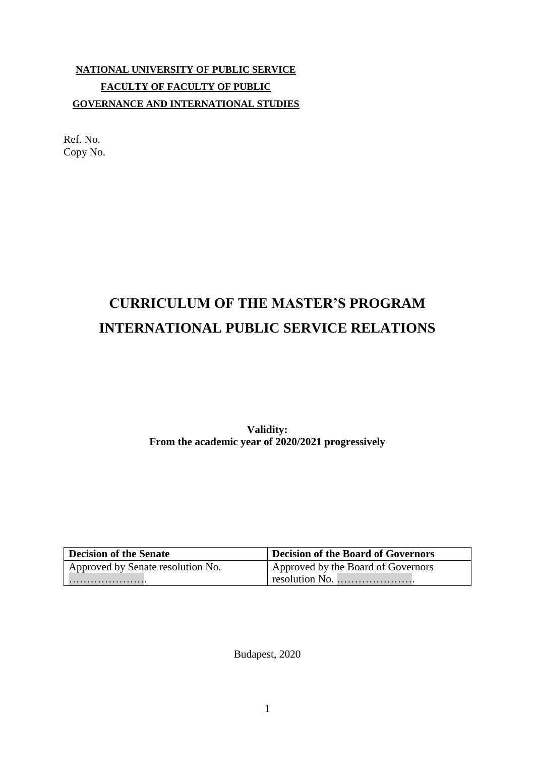## **NATIONAL UNIVERSITY OF PUBLIC SERVICE FACULTY OF FACULTY OF PUBLIC GOVERNANCE AND INTERNATIONAL STUDIES**

Ref. No. Copy No.

# **CURRICULUM OF THE MASTER'S PROGRAM INTERNATIONAL PUBLIC SERVICE RELATIONS**

### **Validity: From the academic year of 2020/2021 progressively**

| <b>Decision of the Senate</b>     | Decision of the Board of Governors |
|-----------------------------------|------------------------------------|
| Approved by Senate resolution No. | Approved by the Board of Governors |
|                                   | $\vert$ resolution No.             |

Budapest, 2020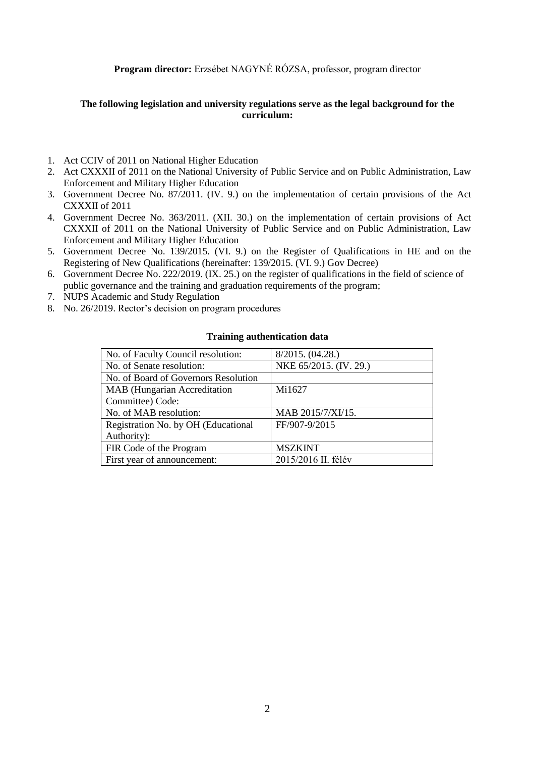### **Program director:** Erzsébet NAGYNÉ RÓZSA, professor, program director

#### **The following legislation and university regulations serve as the legal background for the curriculum:**

- 1. Act CCIV of 2011 on National Higher Education
- 2. Act CXXXII of 2011 on the National University of Public Service and on Public Administration, Law Enforcement and Military Higher Education
- 3. Government Decree No. 87/2011. (IV. 9.) on the implementation of certain provisions of the Act CXXXII of 2011
- 4. Government Decree No. 363/2011. (XII. 30.) on the implementation of certain provisions of Act CXXXII of 2011 on the National University of Public Service and on Public Administration, Law Enforcement and Military Higher Education
- 5. Government Decree No. 139/2015. (VI. 9.) on the Register of Qualifications in HE and on the Registering of New Qualifications (hereinafter: 139/2015. (VI. 9.) Gov Decree)
- 6. Government Decree No. 222/2019. (IX. 25.) on the register of qualifications in the field of science of public governance and the training and graduation requirements of the program;
- 7. NUPS Academic and Study Regulation
- 8. No. 26/2019. Rector's decision on program procedures

#### **Training authentication data**

| 8/2015. (04.28.)       |
|------------------------|
| NKE 65/2015. (IV. 29.) |
|                        |
| Mi1627                 |
|                        |
| MAB 2015/7/XI/15.      |
| FF/907-9/2015          |
|                        |
| <b>MSZKINT</b>         |
| 2015/2016 II. félév    |
|                        |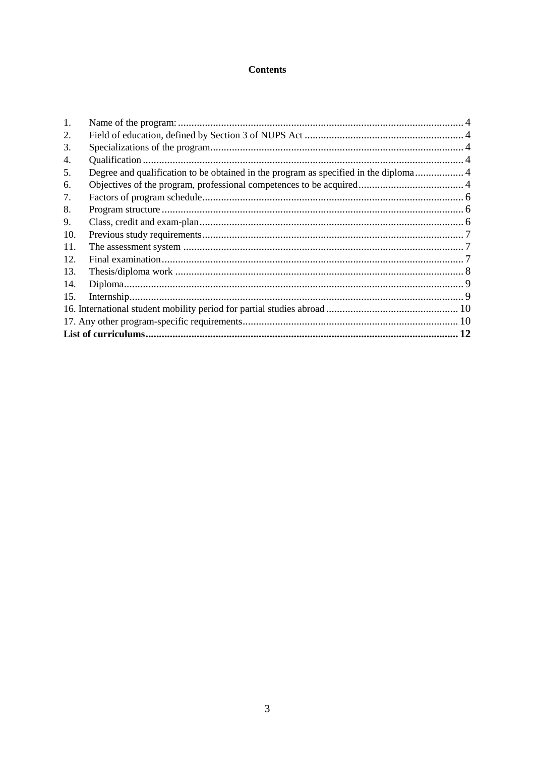### **Contents**

| 1.  |                                                                                      |    |
|-----|--------------------------------------------------------------------------------------|----|
| 2.  |                                                                                      |    |
| 3.  |                                                                                      |    |
| 4.  |                                                                                      |    |
| 5.  | Degree and qualification to be obtained in the program as specified in the diploma 4 |    |
| 6.  |                                                                                      |    |
| 7.  |                                                                                      |    |
| 8.  |                                                                                      |    |
| 9.  |                                                                                      |    |
| 10. |                                                                                      |    |
| 11. |                                                                                      |    |
| 12. |                                                                                      |    |
| 13. |                                                                                      |    |
| 14. |                                                                                      |    |
| 15. |                                                                                      |    |
|     |                                                                                      |    |
|     |                                                                                      |    |
|     |                                                                                      | 12 |
|     |                                                                                      |    |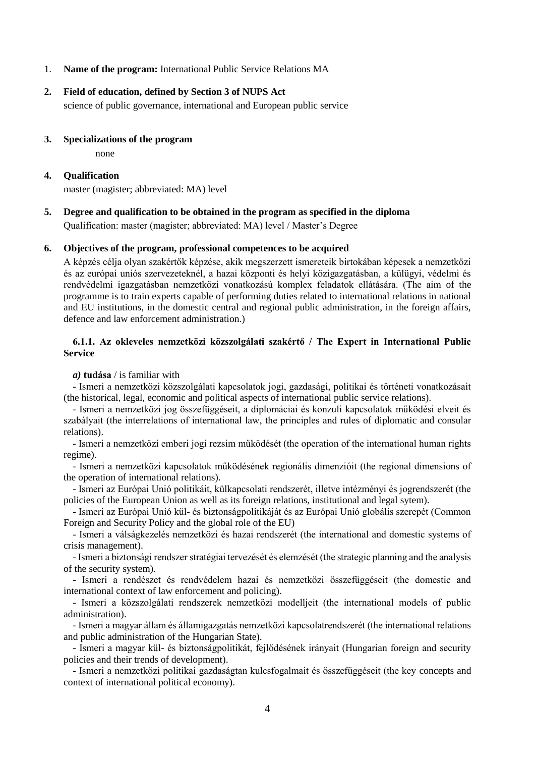<span id="page-3-0"></span>1. **Name of the program:** International Public Service Relations MA

#### <span id="page-3-1"></span>**2. Field of education, defined by Section 3 of NUPS Act**

science of public governance, international and European public service

#### <span id="page-3-2"></span>**3. Specializations of the program**

none

#### <span id="page-3-3"></span>**4. Qualification**

<span id="page-3-4"></span>master (magister; abbreviated: MA) level

#### **5. Degree and qualification to be obtained in the program as specified in the diploma**

<span id="page-3-5"></span>Qualification: master (magister; abbreviated: MA) level / Master's Degree

#### **6. Objectives of the program, professional competences to be acquired**

A képzés célja olyan szakértők képzése, akik megszerzett ismereteik birtokában képesek a nemzetközi és az európai uniós szervezeteknél, a hazai központi és helyi közigazgatásban, a külügyi, védelmi és rendvédelmi igazgatásban nemzetközi vonatkozású komplex feladatok ellátására. (The aim of the programme is to train experts capable of performing duties related to international relations in national and EU institutions, in the domestic central and regional public administration, in the foreign affairs, defence and law enforcement administration.)

#### **6.1.1. Az okleveles nemzetközi közszolgálati szakértő / The Expert in International Public Service**

#### *a)* **tudása** / is familiar with

- Ismeri a nemzetközi közszolgálati kapcsolatok jogi, gazdasági, politikai és történeti vonatkozásait (the historical, legal, economic and political aspects of international public service relations).

- Ismeri a nemzetközi jog összefüggéseit, a diplomáciai és konzuli kapcsolatok működési elveit és szabályait (the interrelations of international law, the principles and rules of diplomatic and consular relations).

- Ismeri a nemzetközi emberi jogi rezsim működését (the operation of the international human rights regime).

- Ismeri a nemzetközi kapcsolatok működésének regionális dimenzióit (the regional dimensions of the operation of international relations).

- Ismeri az Európai Unió politikáit, külkapcsolati rendszerét, illetve intézményi és jogrendszerét (the policies of the European Union as well as its foreign relations, institutional and legal sytem).

- Ismeri az Európai Unió kül- és biztonságpolitikáját és az Európai Unió globális szerepét (Common Foreign and Security Policy and the global role of the EU)

- Ismeri a válságkezelés nemzetközi és hazai rendszerét (the international and domestic systems of crisis management).

- Ismeri a biztonsági rendszer stratégiai tervezését és elemzését (the strategic planning and the analysis of the security system).

- Ismeri a rendészet és rendvédelem hazai és nemzetközi összefüggéseit (the domestic and international context of law enforcement and policing).

- Ismeri a közszolgálati rendszerek nemzetközi modelljeit (the international models of public administration).

- Ismeri a magyar állam és államigazgatás nemzetközi kapcsolatrendszerét (the international relations and public administration of the Hungarian State).

- Ismeri a magyar kül- és biztonságpolitikát, fejlődésének irányait (Hungarian foreign and security policies and their trends of development).

- Ismeri a nemzetközi politikai gazdaságtan kulcsfogalmait és összefüggéseit (the key concepts and context of international political economy).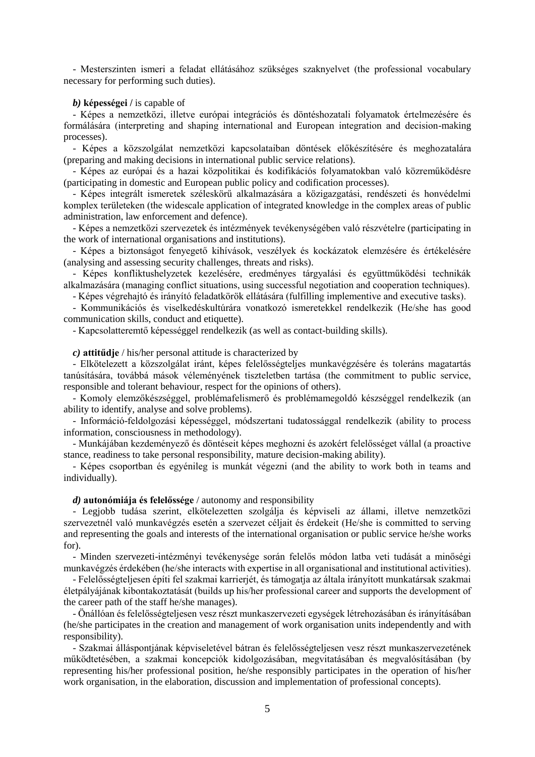- Mesterszinten ismeri a feladat ellátásához szükséges szaknyelvet (the professional vocabulary necessary for performing such duties).

#### *b)* **képességei /** is capable of

- Képes a nemzetközi, illetve európai integrációs és döntéshozatali folyamatok értelmezésére és formálására (interpreting and shaping international and European integration and decision-making processes).

- Képes a közszolgálat nemzetközi kapcsolataiban döntések előkészítésére és meghozatalára (preparing and making decisions in international public service relations).

- Képes az európai és a hazai közpolitikai és kodifikációs folyamatokban való közreműködésre (participating in domestic and European public policy and codification processes).

- Képes integrált ismeretek széleskörű alkalmazására a közigazgatási, rendészeti és honvédelmi komplex területeken (the widescale application of integrated knowledge in the complex areas of public administration, law enforcement and defence).

- Képes a nemzetközi szervezetek és intézmények tevékenységében való részvételre (participating in the work of international organisations and institutions).

- Képes a biztonságot fenyegető kihívások, veszélyek és kockázatok elemzésére és értékelésére (analysing and assessing security challenges, threats and risks).

- Képes konfliktushelyzetek kezelésére, eredményes tárgyalási és együttműködési technikák alkalmazására (managing conflict situations, using successful negotiation and cooperation techniques).

- Képes végrehajtó és irányító feladatkörök ellátására (fulfilling implementive and executive tasks).

- Kommunikációs és viselkedéskultúrára vonatkozó ismeretekkel rendelkezik (He/she has good communication skills, conduct and etiquette).

- Kapcsolatteremtő képességgel rendelkezik (as well as contact-building skills).

#### *c)* **attitűdje** / his/her personal attitude is characterized by

- Elkötelezett a közszolgálat iránt, képes felelősségteljes munkavégzésére és toleráns magatartás tanúsítására, továbbá mások véleményének tiszteletben tartása (the commitment to public service, responsible and tolerant behaviour, respect for the opinions of others).

- Komoly elemzőkészséggel, problémafelismerő és problémamegoldó készséggel rendelkezik (an ability to identify, analyse and solve problems).

- Információ-feldolgozási képességgel, módszertani tudatossággal rendelkezik (ability to process information, consciousness in methodology).

- Munkájában kezdeményező és döntéseit képes meghozni és azokért felelősséget vállal (a proactive stance, readiness to take personal responsibility, mature decision-making ability).

- Képes csoportban és egyénileg is munkát végezni (and the ability to work both in teams and individually).

#### *d)* **autonómiája és felelőssége** / autonomy and responsibility

- Legjobb tudása szerint, elkötelezetten szolgálja és képviseli az állami, illetve nemzetközi szervezetnél való munkavégzés esetén a szervezet céljait és érdekeit (He/she is committed to serving and representing the goals and interests of the international organisation or public service he/she works for).

- Minden szervezeti-intézményi tevékenysége során felelős módon latba veti tudását a minőségi munkavégzés érdekében (he/she interacts with expertise in all organisational and institutional activities).

- Felelősségteljesen építi fel szakmai karrierjét, és támogatja az általa irányított munkatársak szakmai életpályájának kibontakoztatását (builds up his/her professional career and supports the development of the career path of the staff he/she manages).

- Önállóan és felelősségteljesen vesz részt munkaszervezeti egységek létrehozásában és irányításában (he/she participates in the creation and management of work organisation units independently and with responsibility).

- Szakmai álláspontjának képviseletével bátran és felelősségteljesen vesz részt munkaszervezetének működtetésében, a szakmai koncepciók kidolgozásában, megvitatásában és megvalósításában (by representing his/her professional position, he/she responsibly participates in the operation of his/her work organisation, in the elaboration, discussion and implementation of professional concepts).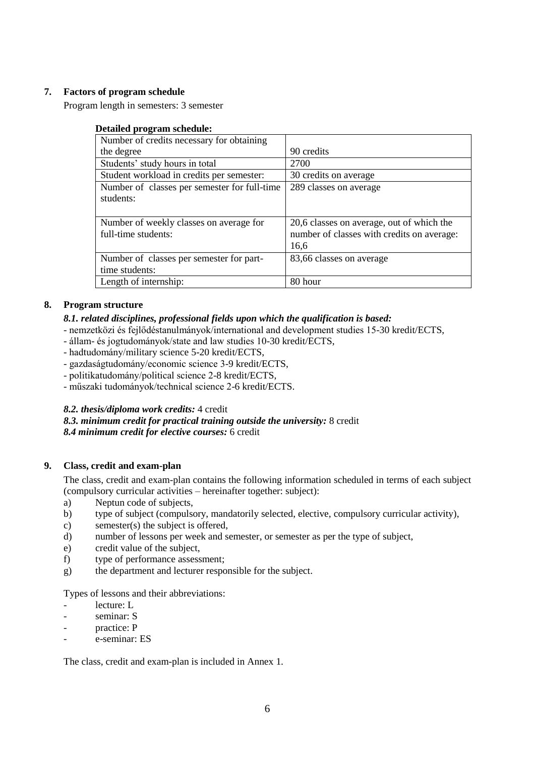#### <span id="page-5-0"></span>**7. Factors of program schedule**

Program length in semesters: 3 semester

#### **Detailed program schedule:**

| Number of credits necessary for obtaining                      |                                                                                                 |
|----------------------------------------------------------------|-------------------------------------------------------------------------------------------------|
| the degree                                                     | 90 credits                                                                                      |
| Students' study hours in total                                 | 2700                                                                                            |
| Student workload in credits per semester:                      | 30 credits on average                                                                           |
| Number of classes per semester for full-time<br>students:      | 289 classes on average                                                                          |
| Number of weekly classes on average for<br>full-time students: | 20,6 classes on average, out of which the<br>number of classes with credits on average:<br>16,6 |
| Number of classes per semester for part-                       | 83,66 classes on average                                                                        |
| time students:                                                 |                                                                                                 |
| Length of internship:                                          | 80 hour                                                                                         |

#### <span id="page-5-1"></span>**8. Program structure**

#### *8.1. related disciplines, professional fields upon which the qualification is based:*

- nemzetközi és fejlődéstanulmányok/international and development studies 15-30 kredit/ECTS,
- állam- és jogtudományok/state and law studies 10-30 kredit/ECTS,
- hadtudomány/military science 5-20 kredit/ECTS,
- gazdaságtudomány/economic science 3-9 kredit/ECTS,
- politikatudomány/political science 2-8 kredit/ECTS,
- műszaki tudományok/technical science 2-6 kredit/ECTS.

#### *8.2. thesis/diploma work credits:* 4 credit

*8.3. minimum credit for practical training outside the university:* 8 credit *8.4 minimum credit for elective courses:* 6 credit

#### <span id="page-5-2"></span>**9. Class, credit and exam-plan**

The class, credit and exam-plan contains the following information scheduled in terms of each subject (compulsory curricular activities – hereinafter together: subject):

- a) Neptun code of subjects,
- b) type of subject (compulsory, mandatorily selected, elective, compulsory curricular activity),
- c) semester(s) the subject is offered,
- d) number of lessons per week and semester, or semester as per the type of subject,
- e) credit value of the subject,
- f) type of performance assessment;
- g) the department and lecturer responsible for the subject.

Types of lessons and their abbreviations:

- lecture: L
- seminar: S
- practice: P
- e-seminar: ES

The class, credit and exam-plan is included in Annex 1.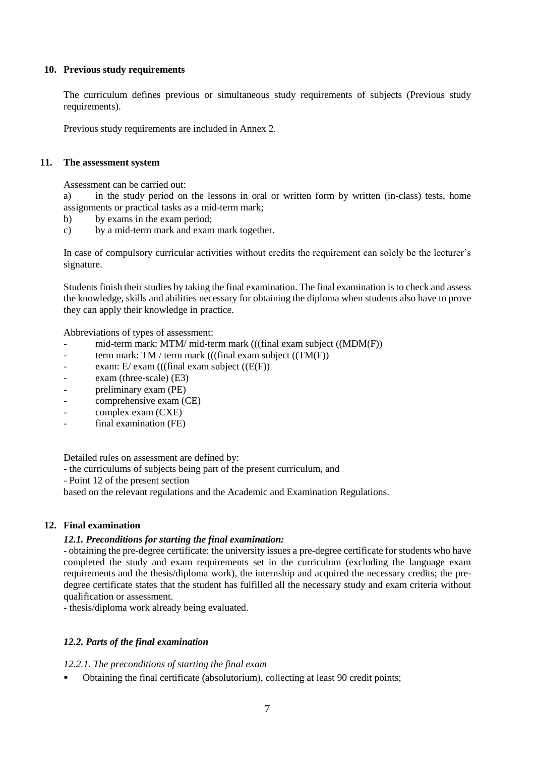#### <span id="page-6-0"></span>**10. Previous study requirements**

The curriculum defines previous or simultaneous study requirements of subjects (Previous study requirements).

<span id="page-6-1"></span>Previous study requirements are included in Annex 2.

#### **11. The assessment system**

Assessment can be carried out:

a) in the study period on the lessons in oral or written form by written (in-class) tests, home assignments or practical tasks as a mid-term mark;

- b) by exams in the exam period;
- c) by a mid-term mark and exam mark together.

In case of compulsory curricular activities without credits the requirement can solely be the lecturer's signature.

Students finish their studies by taking the final examination. The final examination is to check and assess the knowledge, skills and abilities necessary for obtaining the diploma when students also have to prove they can apply their knowledge in practice.

Abbreviations of types of assessment:

- mid-term mark: MTM/ mid-term mark (((final exam subject ((MDM(F))
- term mark: TM / term mark  $(((final exam subject ((TM(F)))$
- exam: E/ exam (((final exam subject ((E(F))
- $exam$  (three-scale)  $(E3)$
- preliminary exam (PE)
- comprehensive exam (CE)
- complex exam (CXE)
- final examination (FE)

Detailed rules on assessment are defined by:

- the curriculums of subjects being part of the present curriculum, and

- Point 12 of the present section

based on the relevant regulations and the Academic and Examination Regulations.

#### <span id="page-6-2"></span>**12. Final examination**

#### *12.1. Preconditions for starting the final examination:*

- obtaining the pre-degree certificate: the university issues a pre-degree certificate for students who have completed the study and exam requirements set in the curriculum (excluding the language exam requirements and the thesis/diploma work), the internship and acquired the necessary credits; the predegree certificate states that the student has fulfilled all the necessary study and exam criteria without qualification or assessment.

- thesis/diploma work already being evaluated.

#### *12.2. Parts of the final examination*

#### *12.2.1. The preconditions of starting the final exam*

Obtaining the final certificate (absolutorium), collecting at least 90 credit points;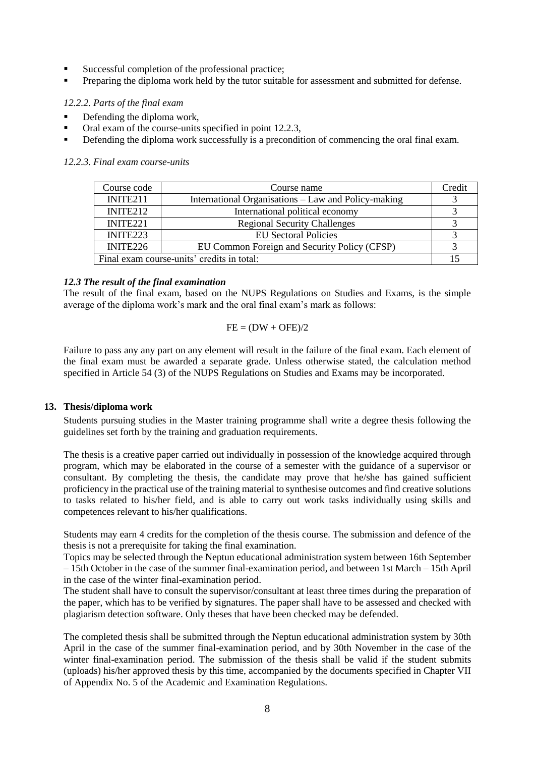- Successful completion of the professional practice;
- Preparing the diploma work held by the tutor suitable for assessment and submitted for defense.

#### *12.2.2. Parts of the final exam*

- Defending the diploma work,
- Oral exam of the course-units specified in point 12.2.3,
- Defending the diploma work successfully is a precondition of commencing the oral final exam.

#### *12.2.3. Final exam course-units*

| Course code          | Course name                                         | Credit |
|----------------------|-----------------------------------------------------|--------|
| INITE <sub>211</sub> | International Organisations – Law and Policy-making |        |
| INITE <sub>212</sub> | International political economy                     |        |
| INITE <sub>221</sub> | <b>Regional Security Challenges</b>                 |        |
| INITE <sub>223</sub> | <b>EU Sectoral Policies</b>                         |        |
| INITE <sub>226</sub> | EU Common Foreign and Security Policy (CFSP)        |        |
|                      | Final exam course-units' credits in total:          |        |

#### *12.3 The result of the final examination*

The result of the final exam, based on the NUPS Regulations on Studies and Exams, is the simple average of the diploma work's mark and the oral final exam's mark as follows:

#### $FE = (DW + OFE)/2$

Failure to pass any any part on any element will result in the failure of the final exam. Each element of the final exam must be awarded a separate grade. Unless otherwise stated, the calculation method specified in Article 54 (3) of the NUPS Regulations on Studies and Exams may be incorporated.

#### <span id="page-7-0"></span>**13. Thesis/diploma work**

Students pursuing studies in the Master training programme shall write a degree thesis following the guidelines set forth by the training and graduation requirements.

The thesis is a creative paper carried out individually in possession of the knowledge acquired through program, which may be elaborated in the course of a semester with the guidance of a supervisor or consultant. By completing the thesis, the candidate may prove that he/she has gained sufficient proficiency in the practical use of the training material to synthesise outcomes and find creative solutions to tasks related to his/her field, and is able to carry out work tasks individually using skills and competences relevant to his/her qualifications.

Students may earn 4 credits for the completion of the thesis course. The submission and defence of the thesis is not a prerequisite for taking the final examination.

Topics may be selected through the Neptun educational administration system between 16th September – 15th October in the case of the summer final-examination period, and between 1st March – 15th April in the case of the winter final-examination period.

The student shall have to consult the supervisor/consultant at least three times during the preparation of the paper, which has to be verified by signatures. The paper shall have to be assessed and checked with plagiarism detection software. Only theses that have been checked may be defended.

The completed thesis shall be submitted through the Neptun educational administration system by 30th April in the case of the summer final-examination period, and by 30th November in the case of the winter final-examination period. The submission of the thesis shall be valid if the student submits (uploads) his/her approved thesis by this time, accompanied by the documents specified in Chapter VII of Appendix No. 5 of the Academic and Examination Regulations.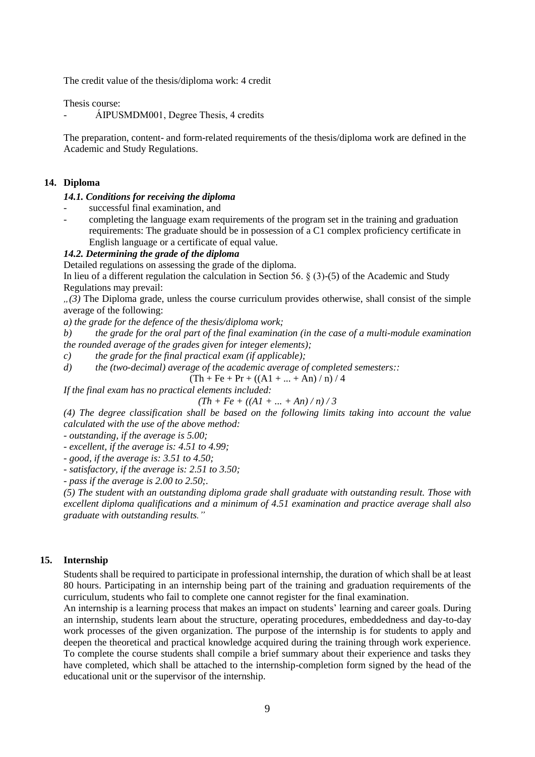The credit value of the thesis/diploma work: 4 credit

Thesis course:

- ÁIPUSMDM001, Degree Thesis, 4 credits

The preparation, content- and form-related requirements of the thesis/diploma work are defined in the Academic and Study Regulations.

#### <span id="page-8-0"></span>**14. Diploma**

#### *14.1. Conditions for receiving the diploma*

- successful final examination, and
- completing the language exam requirements of the program set in the training and graduation requirements: The graduate should be in possession of a C1 complex proficiency certificate in English language or a certificate of equal value.

#### *14.2. Determining the grade of the diploma*

Detailed regulations on assessing the grade of the diploma.

In lieu of a different regulation the calculation in Section 56. § (3)-(5) of the Academic and Study Regulations may prevail:

*"(3)* The Diploma grade, unless the course curriculum provides otherwise, shall consist of the simple average of the following:

*a) the grade for the defence of the thesis/diploma work;* 

*b) the grade for the oral part of the final examination (in the case of a multi-module examination the rounded average of the grades given for integer elements);* 

*c) the grade for the final practical exam (if applicable);* 

*d) the (two-decimal) average of the academic average of completed semesters::*

 $(Th + Fe + Pr + ((A1 + ... + An) / n) / 4)$ 

*If the final exam has no practical elements included:*

$$
(Th + Fe + ((AI + ... + An)/n)/3
$$

*(4) The degree classification shall be based on the following limits taking into account the value calculated with the use of the above method:*

*- outstanding, if the average is 5.00;*

*- excellent, if the average is: 4.51 to 4.99;*

*- good, if the average is: 3.51 to 4.50;*

*- satisfactory, if the average is: 2.51 to 3.50;*

*- pass if the average is 2.00 to 2.50;.*

*(5) The student with an outstanding diploma grade shall graduate with outstanding result. Those with excellent diploma qualifications and a minimum of 4.51 examination and practice average shall also graduate with outstanding results."*

#### <span id="page-8-1"></span>**15. Internship**

Students shall be required to participate in professional internship, the duration of which shall be at least 80 hours. Participating in an internship being part of the training and graduation requirements of the curriculum, students who fail to complete one cannot register for the final examination.

An internship is a learning process that makes an impact on students' learning and career goals. During an internship, students learn about the structure, operating procedures, embeddedness and day-to-day work processes of the given organization. The purpose of the internship is for students to apply and deepen the theoretical and practical knowledge acquired during the training through work experience. To complete the course students shall compile a brief summary about their experience and tasks they have completed, which shall be attached to the internship-completion form signed by the head of the educational unit or the supervisor of the internship.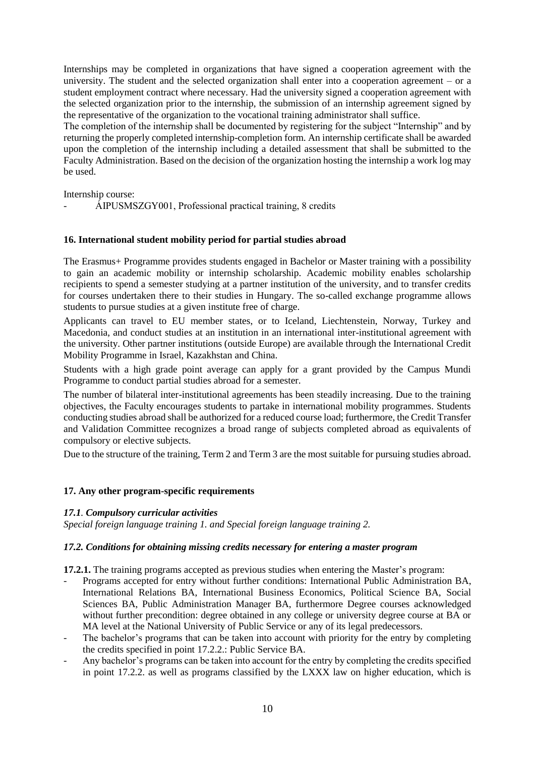Internships may be completed in organizations that have signed a cooperation agreement with the university. The student and the selected organization shall enter into a cooperation agreement – or a student employment contract where necessary. Had the university signed a cooperation agreement with the selected organization prior to the internship, the submission of an internship agreement signed by the representative of the organization to the vocational training administrator shall suffice.

The completion of the internship shall be documented by registering for the subject "Internship" and by returning the properly completed internship-completion form. An internship certificate shall be awarded upon the completion of the internship including a detailed assessment that shall be submitted to the Faculty Administration. Based on the decision of the organization hosting the internship a work log may be used.

Internship course:

- ÁIPUSMSZGY001, Professional practical training, 8 credits

#### <span id="page-9-0"></span>**16. International student mobility period for partial studies abroad**

The Erasmus+ Programme provides students engaged in Bachelor or Master training with a possibility to gain an academic mobility or internship scholarship. Academic mobility enables scholarship recipients to spend a semester studying at a partner institution of the university, and to transfer credits for courses undertaken there to their studies in Hungary. The so-called exchange programme allows students to pursue studies at a given institute free of charge.

Applicants can travel to EU member states, or to Iceland, Liechtenstein, Norway, Turkey and Macedonia, and conduct studies at an institution in an international inter-institutional agreement with the university. Other partner institutions (outside Europe) are available through the International Credit Mobility Programme in Israel, Kazakhstan and China.

Students with a high grade point average can apply for a grant provided by the Campus Mundi Programme to conduct partial studies abroad for a semester.

The number of bilateral inter-institutional agreements has been steadily increasing. Due to the training objectives, the Faculty encourages students to partake in international mobility programmes. Students conducting studies abroad shall be authorized for a reduced course load; furthermore, the Credit Transfer and Validation Committee recognizes a broad range of subjects completed abroad as equivalents of compulsory or elective subjects.

Due to the structure of the training, Term 2 and Term 3 are the most suitable for pursuing studies abroad.

#### <span id="page-9-1"></span>**17. Any other program-specific requirements**

#### *17.1. Compulsory curricular activities*

*Special foreign language training 1. and Special foreign language training 2.*

#### *17.2. Conditions for obtaining missing credits necessary for entering a master program*

**17.2.1.** The training programs accepted as previous studies when entering the Master's program:

- Programs accepted for entry without further conditions: International Public Administration BA, International Relations BA, International Business Economics, Political Science BA, Social Sciences BA, Public Administration Manager BA, furthermore Degree courses acknowledged without further precondition: degree obtained in any college or university degree course at BA or MA level at the National University of Public Service or any of its legal predecessors.
- The bachelor's programs that can be taken into account with priority for the entry by completing the credits specified in point 17.2.2.: Public Service BA.
- Any bachelor's programs can be taken into account for the entry by completing the credits specified in point 17.2.2. as well as programs classified by the LXXX law on higher education, which is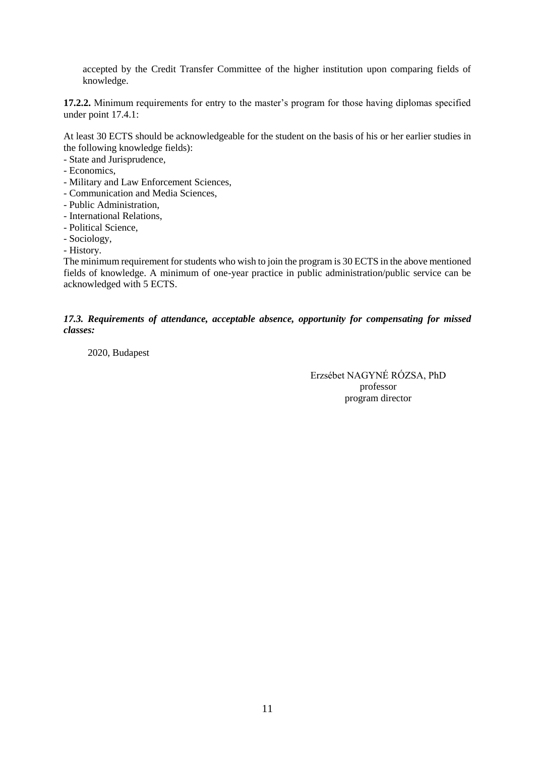accepted by the Credit Transfer Committee of the higher institution upon comparing fields of knowledge.

**17.2.2.** Minimum requirements for entry to the master's program for those having diplomas specified under point 17.4.1:

At least 30 ECTS should be acknowledgeable for the student on the basis of his or her earlier studies in the following knowledge fields):

- State and Jurisprudence,
- Economics,
- Military and Law Enforcement Sciences,
- Communication and Media Sciences,
- Public Administration,
- International Relations,
- Political Science,
- Sociology,
- History.

The minimum requirement for students who wish to join the program is 30 ECTS in the above mentioned fields of knowledge. A minimum of one-year practice in public administration/public service can be acknowledged with 5 ECTS.

*17.3. Requirements of attendance, acceptable absence, opportunity for compensating for missed classes:*

2020, Budapest

Erzsébet NAGYNÉ RÓZSA, PhD professor program director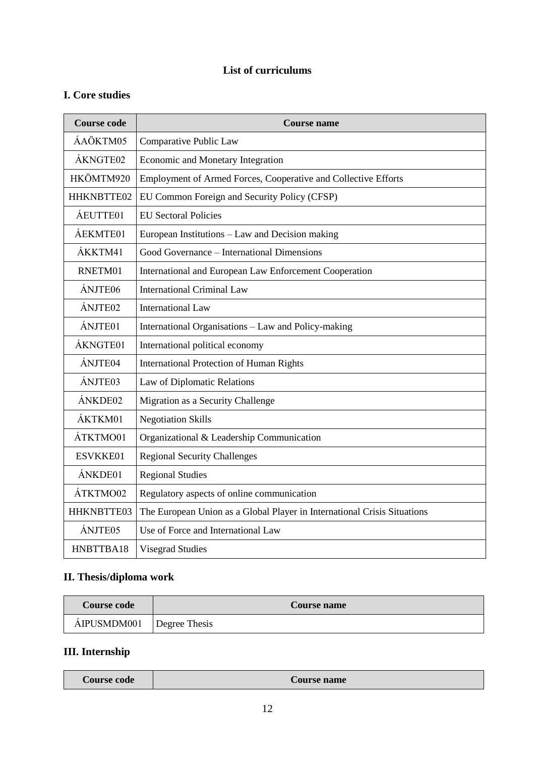### **List of curriculums**

### <span id="page-11-0"></span>**I. Core studies**

| <b>Course code</b>  | <b>Course name</b>                                                       |
|---------------------|--------------------------------------------------------------------------|
| ÁAÖKTM05            | Comparative Public Law                                                   |
| ÁKNGTE02            | Economic and Monetary Integration                                        |
| HKÖMTM920           | Employment of Armed Forces, Cooperative and Collective Efforts           |
| HHKNBTTE02          | EU Common Foreign and Security Policy (CFSP)                             |
| ÁEUTTE01            | <b>EU Sectoral Policies</b>                                              |
| ÁEKMTE01            | European Institutions - Law and Decision making                          |
| ÁKKTM41             | Good Governance – International Dimensions                               |
| RNETM01             | International and European Law Enforcement Cooperation                   |
| ÁNJTE <sub>06</sub> | <b>International Criminal Law</b>                                        |
| ÁNJTE <sub>02</sub> | <b>International Law</b>                                                 |
| ÁNJTE01             | International Organisations - Law and Policy-making                      |
| ÁKNGTE01            | International political economy                                          |
| ÁNJTE <sub>04</sub> | <b>International Protection of Human Rights</b>                          |
| <b>ÁNJTE03</b>      | Law of Diplomatic Relations                                              |
| ÁNKDE02             | Migration as a Security Challenge                                        |
| ÁKTKM01             | <b>Negotiation Skills</b>                                                |
| ÁTKTMO01            | Organizational & Leadership Communication                                |
| ESVKKE01            | <b>Regional Security Challenges</b>                                      |
| ÁNKDE01             | <b>Regional Studies</b>                                                  |
| ÁTKTMO02            | Regulatory aspects of online communication                               |
| HHKNBTTE03          | The European Union as a Global Player in International Crisis Situations |
| ÁNJTE <sub>05</sub> | Use of Force and International Law                                       |
| HNBTTBA18           | <b>Visegrad Studies</b>                                                  |

# **II. Thesis/diploma work**

| Course code | <b>Course name</b> |
|-------------|--------------------|
| AIPUSMDM001 | Degree Thesis      |

### **III. Internship**

| <b>Course code</b><br><b>Course name</b> |
|------------------------------------------|
|------------------------------------------|